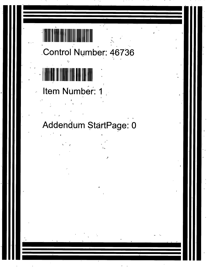## Control Number: 46736

## Item Number: 1

Addendum StartPage: 0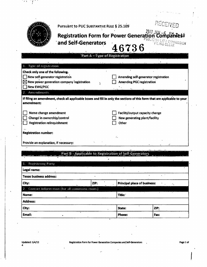|                                       | Pursuant to PUC SUBSTANTIVE RULE § 25.109                                                                                 |                                                                    | RECEIVED |
|---------------------------------------|---------------------------------------------------------------------------------------------------------------------------|--------------------------------------------------------------------|----------|
|                                       | <b>Registration Form for Power Generation</b><br>and Self-Generators                                                      | 2017 JAN - 6<br><b>tion Companies</b> 0<br>PUƏLIC UTIL<br>AMISSION |          |
|                                       | Part A - Type of Registration                                                                                             | 46736                                                              |          |
|                                       |                                                                                                                           |                                                                    |          |
| Type of registration                  |                                                                                                                           |                                                                    |          |
| Check only one of the following.      |                                                                                                                           |                                                                    |          |
| New self-generator registration       | Amending self-generator registration                                                                                      |                                                                    |          |
| <b>New EWG/PGC</b>                    | $\boxtimes$ New power generation company registration                                                                     | <b>Amending PGC registration</b>                                   |          |
| 2. Amendments                         |                                                                                                                           |                                                                    |          |
| amendment:                            | If filing an amendment, check all applicable boxes and fill in only the sections of this form that are applicable to your |                                                                    |          |
| Name change amendment                 |                                                                                                                           | Facility/output capacity change                                    |          |
| Change in ownership/control           |                                                                                                                           | New generating plant/facility                                      |          |
| Registration relinquishment           |                                                                                                                           | <b>Other</b>                                                       |          |
|                                       |                                                                                                                           |                                                                    |          |
| <b>Registration number:</b>           |                                                                                                                           |                                                                    |          |
| Provide an explanation, if necessary: |                                                                                                                           |                                                                    |          |
|                                       |                                                                                                                           |                                                                    |          |
|                                       | Part'B - Applicable to Registration of Self-Generators                                                                    |                                                                    |          |

| $\bullet$<br>$\mathbf{x} = \mathbf{X} - \mathbf{x}$ |                                                                        | <b>Francis</b> | $\mathbf{v}_{\mathbf{d}}$         |  |  |  |  |
|-----------------------------------------------------|------------------------------------------------------------------------|----------------|-----------------------------------|--|--|--|--|
| <b>Registering Party</b><br>$\mathbf{1}$ .          |                                                                        |                |                                   |  |  |  |  |
| Legal name:                                         |                                                                        |                |                                   |  |  |  |  |
| <b>Texas business address:</b>                      |                                                                        |                |                                   |  |  |  |  |
| City:                                               | ZIP:<br>Principal place of business:<br>$\mathbf{v}$<br>$\mathbf{r}_k$ |                |                                   |  |  |  |  |
| 2. Contact Information (for all communications).    |                                                                        |                |                                   |  |  |  |  |
| Name:                                               |                                                                        | Title:         | $\mathbf{a}^{\dagger}$<br>$\cdot$ |  |  |  |  |
| <b>Address:</b>                                     |                                                                        |                |                                   |  |  |  |  |
| City:                                               |                                                                        | State:         | ZIP:                              |  |  |  |  |
| Email:                                              |                                                                        | Phone:         | Fax:                              |  |  |  |  |

 $\mathbb{R}^n \times T^{n+1}$ 

 $\frac{1}{2}$  ,

 $\overline{a}$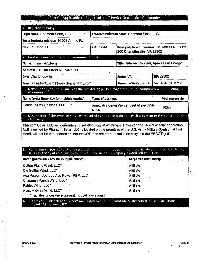## Part C - Applicable to Registration of Power Generation Companies

99

| 1. Registering Party                                                                                                                                                                                                                                                                                                           |                                                      |                                                                                   |  |                   |  |  |  |  |  |  |
|--------------------------------------------------------------------------------------------------------------------------------------------------------------------------------------------------------------------------------------------------------------------------------------------------------------------------------|------------------------------------------------------|-----------------------------------------------------------------------------------|--|-------------------|--|--|--|--|--|--|
| Legal name: Phantom Solar, LLC                                                                                                                                                                                                                                                                                                 |                                                      | Trade/commercial name: Phantom Solar, LLC                                         |  |                   |  |  |  |  |  |  |
| Texas business address: 91001 Ammo Rd                                                                                                                                                                                                                                                                                          |                                                      |                                                                                   |  |                   |  |  |  |  |  |  |
| City: Ft. Hood TX                                                                                                                                                                                                                                                                                                              | ZIP: 76544                                           | Principal place of business: 310 4th St NE Suite<br>200 Charlottesville, VA 22902 |  |                   |  |  |  |  |  |  |
| 2. Contact Information (for all communications).                                                                                                                                                                                                                                                                               |                                                      |                                                                                   |  |                   |  |  |  |  |  |  |
| Name: Elise Hertzberg                                                                                                                                                                                                                                                                                                          | Title: Internal Counsel, Apex Clean Energy           |                                                                                   |  |                   |  |  |  |  |  |  |
| Address: 310 4th Street NE Suite 200                                                                                                                                                                                                                                                                                           |                                                      |                                                                                   |  |                   |  |  |  |  |  |  |
| City: Charlottesville                                                                                                                                                                                                                                                                                                          |                                                      | State: VA                                                                         |  | ZIP: 22902        |  |  |  |  |  |  |
| Email: elise.hertzberg@apexcleanenergy.com                                                                                                                                                                                                                                                                                     |                                                      | Phone: 434-270-7525                                                               |  | Fax: 434-220-3712 |  |  |  |  |  |  |
| 3. Names and types of business of the registering party's corporate parent companies with percentages<br>of ownership                                                                                                                                                                                                          |                                                      |                                                                                   |  |                   |  |  |  |  |  |  |
| Name (press Enter Key for multiple entries)                                                                                                                                                                                                                                                                                    | <b>Types of business</b>                             |                                                                                   |  |                   |  |  |  |  |  |  |
| <b>Cotton Plains Holdings, LLC</b>                                                                                                                                                                                                                                                                                             | renewable generation and retail electricity<br>sales | 100%                                                                              |  |                   |  |  |  |  |  |  |
| 4. Description of the types of services provided by the registering party that pertain to the generation of<br>electricity                                                                                                                                                                                                     |                                                      |                                                                                   |  |                   |  |  |  |  |  |  |
| Phantom Solar, LLC will generate and sell electricity at wholesale. However, the 15.4 MW solar generation<br>facility owned by Phantom Solar, LLC is located on the premises of the U.S. Army Military Garrison at Fort<br>Hood, will not be interconnected into ERCOT, and will not transmit electricity into the ERCOT grid. |                                                      |                                                                                   |  |                   |  |  |  |  |  |  |
| 5. Name and corporate relationship of each affiliate that buys and sells electricity at wholesale in Texas,<br>sells electricity at retail in Texas, or is an electric or municipally owned utility in Texas                                                                                                                   |                                                      |                                                                                   |  |                   |  |  |  |  |  |  |
| Name (press Enter Key for multiple entries)                                                                                                                                                                                                                                                                                    |                                                      | Corporate relationship<br>1.                                                      |  |                   |  |  |  |  |  |  |
| Cotton Plains Wind, LLC*                                                                                                                                                                                                                                                                                                       | Affiliate                                            |                                                                                   |  |                   |  |  |  |  |  |  |
| Old Settler Wind, LLC*                                                                                                                                                                                                                                                                                                         | <b>Affiliate</b>                                     |                                                                                   |  |                   |  |  |  |  |  |  |
| Ace Power, LLC dba Ace Power REP, LLC                                                                                                                                                                                                                                                                                          | <b>Affiliate</b>                                     |                                                                                   |  |                   |  |  |  |  |  |  |
| Chapman Ranch Wind, LLC*                                                                                                                                                                                                                                                                                                       | <b>Affiliate</b>                                     |                                                                                   |  |                   |  |  |  |  |  |  |
| Patriot Wind, LLC*                                                                                                                                                                                                                                                                                                             | <b>Affiliate</b>                                     |                                                                                   |  |                   |  |  |  |  |  |  |
| Apex Midway Wind, LLC*                                                                                                                                                                                                                                                                                                         | <b>Affiliate</b>                                     |                                                                                   |  |                   |  |  |  |  |  |  |
| * Facilites under development; not yet operational                                                                                                                                                                                                                                                                             |                                                      |                                                                                   |  |                   |  |  |  |  |  |  |
| 6. If applicable, attach to this form any Supplemental Information, as described in the Instructions,<br>labeled "Attachment B8"                                                                                                                                                                                               |                                                      |                                                                                   |  |                   |  |  |  |  |  |  |
|                                                                                                                                                                                                                                                                                                                                |                                                      |                                                                                   |  | $\blacksquare$    |  |  |  |  |  |  |

Ŋ

f

 $\begin{array}{c} \mathbb{E} \\ \mathbb{E} \\ \mathbb{N} \end{array}$ 

 $\bar{\epsilon}$ 

 $\frac{1}{2}$  .  $\frac{1}{2}$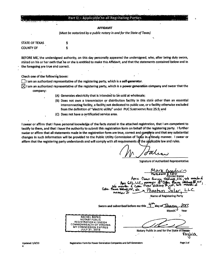## **AFFIDAVIT**

(Must be notarized by a public notary in and for the State of Texas)

| <b>STATE OF TEXAS</b> | Ę |  |  |
|-----------------------|---|--|--|
| <b>COUNTY OF</b>      | δ |  |  |

BEFORE ME, the undersigned authority, on this day personally appeared the undersigned, who, after being duly sworn, stated on his or her oath that he or she is entitled to make this Affidavit, and that the statements contained below and in the foregoing are true and correct.

Check one of the following boxes:

 $\Box$  I am an authorized representative of the registering party, which is a self-generator.

- $\boxtimes$  I am an authorized representative of the registering party, which is a power generation company and swear that the company:
	- (A) Generates electricity that is intended to be sold at wholesale;
	- (B) Does not own a transmission or distribution facility in this state other than an essential interconnecting facility, a facility not dedicated to public use, or a facility otherwise excluded from the definition of "electric utility" under PUC SUBSTANTIVE RULE 25.5; and
	- (C) Does not have a certificated service area.

I swear or affirm that I have personal knowledge of the facts stated in the attached registration, that I am competent to testify to them, and that I have the authority to submit this registration form on behalf of the registering party. I further swear or affirm that all statements made in the registration form are true, correct and complete and that any substantial changes in such information will be provided to the Public Utility Commission of Texas in a/timely manner. I swear or affirm that the registering party understands and will comply with all requirements of the applicable law and rules.

**Signature of Authorized Representative** 

 $ack.$ Apex Clean Energy MAMAICY הי **Plant**  $C<sub>other</sub>$ علاء Phantom **Name of Registering Party** day of Jancary Sworn and subscribed before me this **Month** Year  $\ddot{\phantom{a}}$ **RACHEL REPKO NOTARY PUBLIC REGISTRATION # 7352324 COMMONWEALTH OF VIRGINIA COMMISSION EXPIRES JULY 31, 2018** Notary Public in and for the State of Texas

**Updated: 1/4/13** 

Registration Form for Power Generation Companies and Self-Generators

Page 3 of